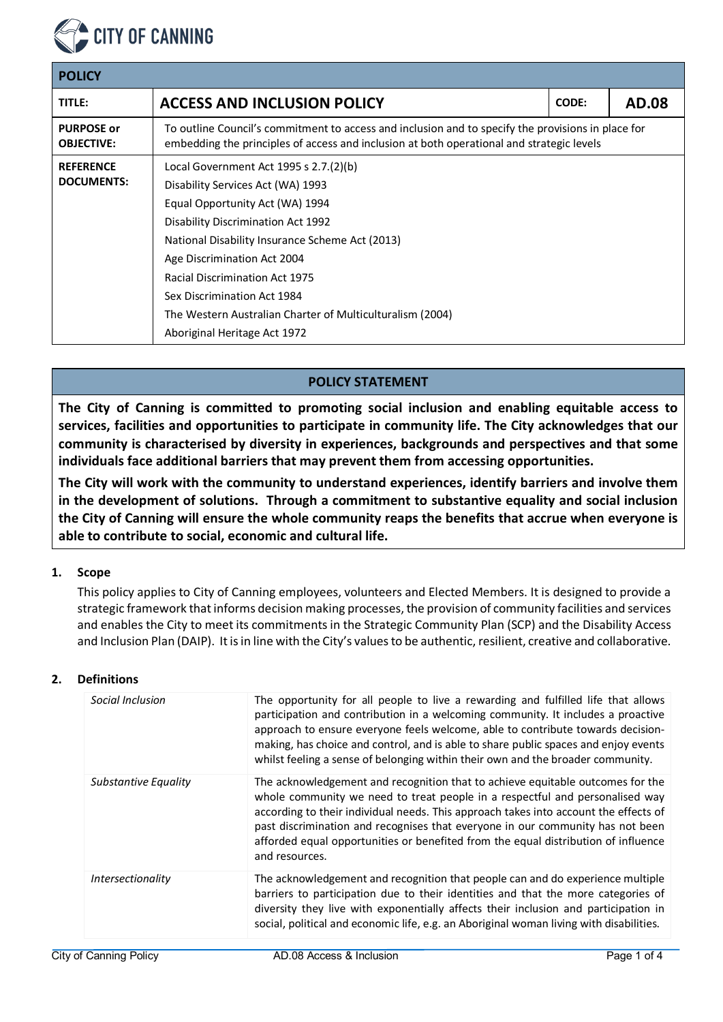

| <b>POLICY</b>                          |                                                                                                                                                                                                                                                                                                                                                                                                              |  |              |  |  |
|----------------------------------------|--------------------------------------------------------------------------------------------------------------------------------------------------------------------------------------------------------------------------------------------------------------------------------------------------------------------------------------------------------------------------------------------------------------|--|--------------|--|--|
| TITLE:                                 | <b>ACCESS AND INCLUSION POLICY</b><br>CODE:                                                                                                                                                                                                                                                                                                                                                                  |  | <b>AD.08</b> |  |  |
| <b>PURPOSE or</b><br><b>OBJECTIVE:</b> | To outline Council's commitment to access and inclusion and to specify the provisions in place for<br>embedding the principles of access and inclusion at both operational and strategic levels                                                                                                                                                                                                              |  |              |  |  |
| <b>REFERENCE</b><br><b>DOCUMENTS:</b>  | Local Government Act $1995 s 2.7(2)(b)$<br>Disability Services Act (WA) 1993<br>Equal Opportunity Act (WA) 1994<br>Disability Discrimination Act 1992<br>National Disability Insurance Scheme Act (2013)<br>Age Discrimination Act 2004<br><b>Racial Discrimination Act 1975</b><br>Sex Discrimination Act 1984<br>The Western Australian Charter of Multiculturalism (2004)<br>Aboriginal Heritage Act 1972 |  |              |  |  |

# **POLICY STATEMENT**

**The City of Canning is committed to promoting social inclusion and enabling equitable access to services, facilities and opportunities to participate in community life. The City acknowledges that our community is characterised by diversity in experiences, backgrounds and perspectives and that some individuals face additional barriers that may prevent them from accessing opportunities.** 

**The City will work with the community to understand experiences, identify barriers and involve them in the development of solutions. Through a commitment to substantive equality and social inclusion the City of Canning will ensure the whole community reaps the benefits that accrue when everyone is able to contribute to social, economic and cultural life.** 

## **1. Scope**

This policy applies to City of Canning employees, volunteers and Elected Members. It is designed to provide a strategic framework that informs decision making processes, the provision of community facilities and services and enables the City to meet its commitments in the Strategic Community Plan (SCP) and the Disability Access and Inclusion Plan (DAIP). It is in line with the City's values to be authentic, resilient, creative and collaborative.

#### **2. Definitions**

| Social Inclusion     | The opportunity for all people to live a rewarding and fulfilled life that allows<br>participation and contribution in a welcoming community. It includes a proactive<br>approach to ensure everyone feels welcome, able to contribute towards decision-<br>making, has choice and control, and is able to share public spaces and enjoy events<br>whilst feeling a sense of belonging within their own and the broader community.               |
|----------------------|--------------------------------------------------------------------------------------------------------------------------------------------------------------------------------------------------------------------------------------------------------------------------------------------------------------------------------------------------------------------------------------------------------------------------------------------------|
| Substantive Equality | The acknowledgement and recognition that to achieve equitable outcomes for the<br>whole community we need to treat people in a respectful and personalised way<br>according to their individual needs. This approach takes into account the effects of<br>past discrimination and recognises that everyone in our community has not been<br>afforded equal opportunities or benefited from the equal distribution of influence<br>and resources. |
| Intersectionality    | The acknowledgement and recognition that people can and do experience multiple<br>barriers to participation due to their identities and that the more categories of<br>diversity they live with exponentially affects their inclusion and participation in<br>social, political and economic life, e.g. an Aboriginal woman living with disabilities.                                                                                            |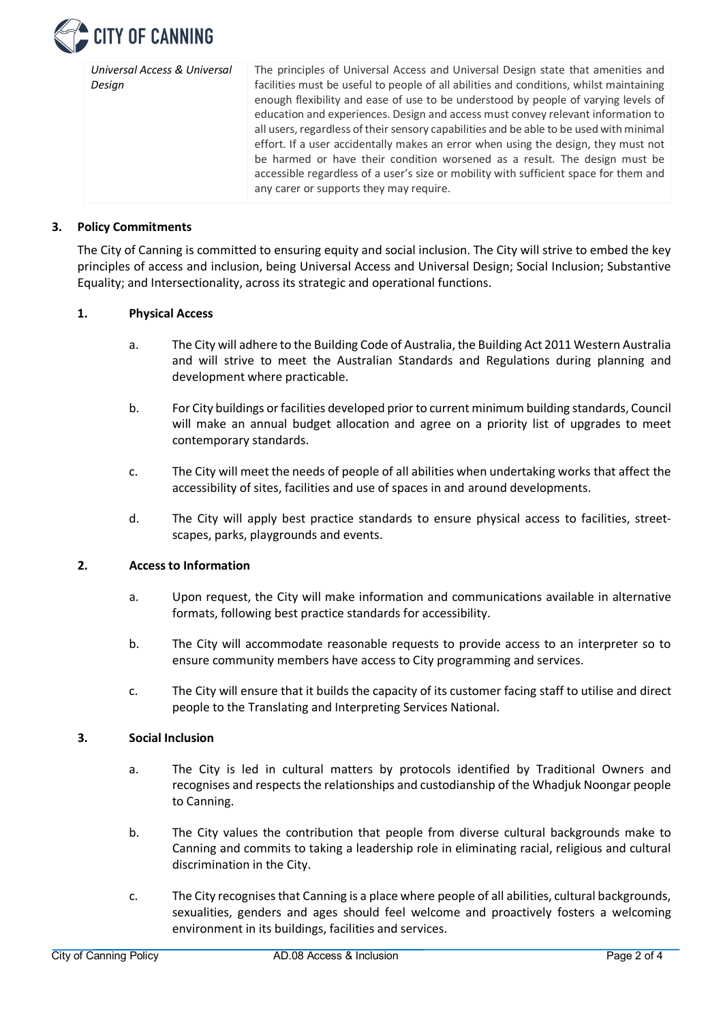

| Universal Access & Universal<br>Design | The principles of Universal Access and Universal Design state that amenities and<br>facilities must be useful to people of all abilities and conditions, whilst maintaining<br>enough flexibility and ease of use to be understood by people of varying levels of<br>education and experiences. Design and access must convey relevant information to<br>all users, regardless of their sensory capabilities and be able to be used with minimal<br>effort. If a user accidentally makes an error when using the design, they must not<br>be harmed or have their condition worsened as a result. The design must be<br>accessible regardless of a user's size or mobility with sufficient space for them and<br>any carer or supports they may require. |
|----------------------------------------|----------------------------------------------------------------------------------------------------------------------------------------------------------------------------------------------------------------------------------------------------------------------------------------------------------------------------------------------------------------------------------------------------------------------------------------------------------------------------------------------------------------------------------------------------------------------------------------------------------------------------------------------------------------------------------------------------------------------------------------------------------|
|----------------------------------------|----------------------------------------------------------------------------------------------------------------------------------------------------------------------------------------------------------------------------------------------------------------------------------------------------------------------------------------------------------------------------------------------------------------------------------------------------------------------------------------------------------------------------------------------------------------------------------------------------------------------------------------------------------------------------------------------------------------------------------------------------------|

### **3. Policy Commitments**

The City of Canning is committed to ensuring equity and social inclusion. The City will strive to embed the key principles of access and inclusion, being Universal Access and Universal Design; Social Inclusion; Substantive Equality; and Intersectionality, across its strategic and operational functions.

#### **1. Physical Access**

- a. The City will adhere to the Building Code of Australia, the Building Act 2011 Western Australia and will strive to meet the Australian Standards and Regulations during planning and development where practicable.
- b. For City buildings or facilities developed prior to current minimum building standards, Council will make an annual budget allocation and agree on a priority list of upgrades to meet contemporary standards.
- c. The City will meet the needs of people of all abilities when undertaking works that affect the accessibility of sites, facilities and use of spaces in and around developments.
- d. The City will apply best practice standards to ensure physical access to facilities, streetscapes, parks, playgrounds and events.

#### **2. Access to Information**

- a. Upon request, the City will make information and communications available in alternative formats, following best practice standards for accessibility.
- b. The City will accommodate reasonable requests to provide access to an interpreter so to ensure community members have access to City programming and services.
- c. The City will ensure that it builds the capacity of its customer facing staff to utilise and direct people to the Translating and Interpreting Services National.

### **3. Social Inclusion**

- a. The City is led in cultural matters by protocols identified by Traditional Owners and recognises and respects the relationships and custodianship of the Whadjuk Noongar people to Canning.
- b. The City values the contribution that people from diverse cultural backgrounds make to Canning and commits to taking a leadership role in eliminating racial, religious and cultural discrimination in the City.
- c. The City recognises that Canning is a place where people of all abilities, cultural backgrounds, sexualities, genders and ages should feel welcome and proactively fosters a welcoming environment in its buildings, facilities and services.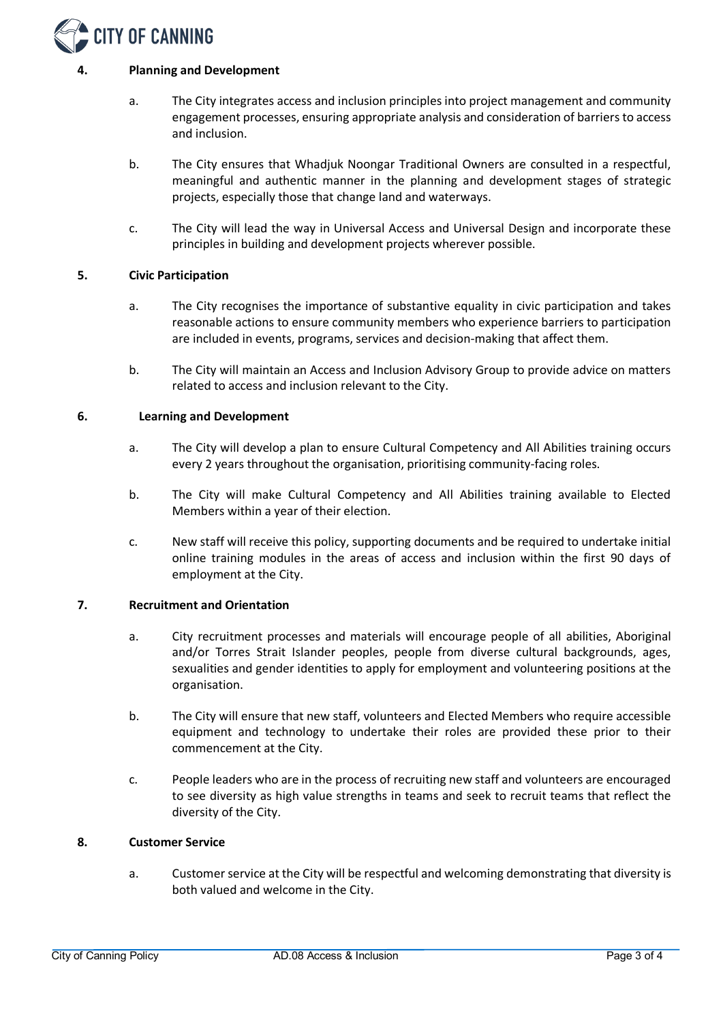

## **4. Planning and Development**

- a. The City integrates access and inclusion principles into project management and community engagement processes, ensuring appropriate analysis and consideration of barriers to access and inclusion.
- b. The City ensures that Whadjuk Noongar Traditional Owners are consulted in a respectful, meaningful and authentic manner in the planning and development stages of strategic projects, especially those that change land and waterways.
- c. The City will lead the way in Universal Access and Universal Design and incorporate these principles in building and development projects wherever possible.

## **5. Civic Participation**

- a. The City recognises the importance of substantive equality in civic participation and takes reasonable actions to ensure community members who experience barriers to participation are included in events, programs, services and decision-making that affect them.
- b. The City will maintain an Access and Inclusion Advisory Group to provide advice on matters related to access and inclusion relevant to the City.

## **6. Learning and Development**

- a. The City will develop a plan to ensure Cultural Competency and All Abilities training occurs every 2 years throughout the organisation, prioritising community-facing roles.
- b. The City will make Cultural Competency and All Abilities training available to Elected Members within a year of their election.
- c. New staff will receive this policy, supporting documents and be required to undertake initial online training modules in the areas of access and inclusion within the first 90 days of employment at the City.

## **7. Recruitment and Orientation**

- a. City recruitment processes and materials will encourage people of all abilities, Aboriginal and/or Torres Strait Islander peoples, people from diverse cultural backgrounds, ages, sexualities and gender identities to apply for employment and volunteering positions at the organisation.
- b. The City will ensure that new staff, volunteers and Elected Members who require accessible equipment and technology to undertake their roles are provided these prior to their commencement at the City.
- c. People leaders who are in the process of recruiting new staff and volunteers are encouraged to see diversity as high value strengths in teams and seek to recruit teams that reflect the diversity of the City.

## **8. Customer Service**

a. Customer service at the City will be respectful and welcoming demonstrating that diversity is both valued and welcome in the City.